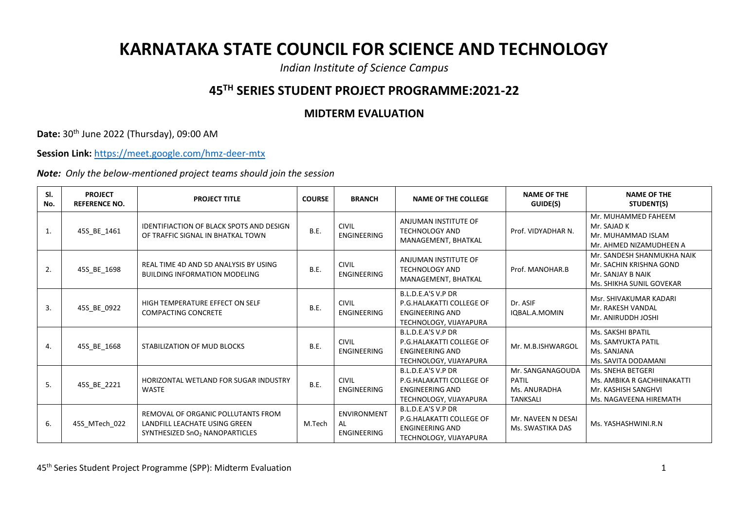## **KARNATAKA STATE COUNCIL FOR SCIENCE AND TECHNOLOGY**

*Indian Institute of Science Campus*

## **45TH SERIES STUDENT PROJECT PROGRAMME:2021-22**

## **MIDTERM EVALUATION**

**Date:** 30th June 2022 (Thursday), 09:00 AM

**Session Link:** <https://meet.google.com/hmz-deer-mtx>

*Note: Only the below-mentioned project teams should join the session*

| SI.<br>No. | <b>PROJECT</b><br><b>REFERENCE NO.</b> | <b>PROJECT TITLE</b>                                                                                              | <b>COURSE</b> | <b>BRANCH</b>                                  | <b>NAME OF THE COLLEGE</b>                                                                         | <b>NAME OF THE</b><br>GUIDE(S)                                      | <b>NAME OF THE</b><br>STUDENT(S)                                                                       |
|------------|----------------------------------------|-------------------------------------------------------------------------------------------------------------------|---------------|------------------------------------------------|----------------------------------------------------------------------------------------------------|---------------------------------------------------------------------|--------------------------------------------------------------------------------------------------------|
| 1.         | 45S_BE_1461                            | <b>IDENTIFIACTION OF BLACK SPOTS AND DESIGN</b><br>OF TRAFFIC SIGNAL IN BHATKAL TOWN                              | B.E.          | <b>CIVIL</b><br><b>ENGINEERING</b>             | ANJUMAN INSTITUTE OF<br><b>TECHNOLOGY AND</b><br>MANAGEMENT, BHATKAL                               | Prof. VIDYADHAR N.                                                  | Mr. MUHAMMED FAHEEM<br>Mr. SAJAD K<br>Mr. MUHAMMAD ISLAM<br>Mr. AHMED NIZAMUDHEEN A                    |
| 2.         | 45S_BE_1698                            | REAL TIME 4D AND 5D ANALYSIS BY USING<br><b>BUILDING INFORMATION MODELING</b>                                     | <b>B.E.</b>   | <b>CIVIL</b><br>ENGINEERING                    | ANJUMAN INSTITUTE OF<br><b>TECHNOLOGY AND</b><br>MANAGEMENT, BHATKAL                               | Prof. MANOHAR.B                                                     | Mr. SANDESH SHANMUKHA NAIK<br>Mr. SACHIN KRISHNA GOND<br>Mr. SANJAY B NAIK<br>Ms. SHIKHA SUNIL GOVEKAR |
| 3.         | 45S_BE_0922                            | HIGH TEMPERATURE EFFECT ON SELF<br><b>COMPACTING CONCRETE</b>                                                     | <b>B.E.</b>   | <b>CIVIL</b><br><b>ENGINEERING</b>             | B.L.D.E.A'S V.P DR<br>P.G.HALAKATTI COLLEGE OF<br><b>ENGINEERING AND</b><br>TECHNOLOGY, VIJAYAPURA | Dr. ASIF<br>IQBAL.A.MOMIN                                           | Msr. SHIVAKUMAR KADARI<br>Mr. RAKESH VANDAL<br>Mr. ANIRUDDH JOSHI                                      |
| 4.         | 45S BE 1668                            | STABILIZATION OF MUD BLOCKS                                                                                       | B.E.          | <b>CIVIL</b><br>ENGINEERING                    | B.L.D.E.A'S V.P DR<br>P.G.HALAKATTI COLLEGE OF<br><b>ENGINEERING AND</b><br>TECHNOLOGY, VIJAYAPURA | Mr. M.B.ISHWARGOL                                                   | Ms. SAKSHI BPATIL<br>Ms. SAMYUKTA PATIL<br>Ms. SANJANA<br>Ms. SAVITA DODAMANI                          |
| 5.         | 45S_BE_2221                            | HORIZONTAL WETLAND FOR SUGAR INDUSTRY<br>WASTE                                                                    | B.E.          | <b>CIVIL</b><br><b>ENGINEERING</b>             | B.L.D.E.A'S V.P DR<br>P.G.HALAKATTI COLLEGE OF<br><b>ENGINEERING AND</b><br>TECHNOLOGY, VIJAYAPURA | Mr. SANGANAGOUDA<br><b>PATIL</b><br>Ms. ANURADHA<br><b>TANKSALI</b> | Ms. SNEHA BETGERI<br>Ms. AMBIKA R GACHHINAKATTI<br>Mr. KASHISH SANGHVI<br>Ms. NAGAVEENA HIREMATH       |
| 6.         | 45S MTech 022                          | REMOVAL OF ORGANIC POLLUTANTS FROM<br>LANDFILL LEACHATE USING GREEN<br>SYNTHESIZED SnO <sub>2</sub> NANOPARTICLES | M.Tech        | <b>ENVIRONMENT</b><br>AL<br><b>ENGINEERING</b> | B.L.D.E.A'S V.P DR<br>P.G.HALAKATTI COLLEGE OF<br><b>ENGINEERING AND</b><br>TECHNOLOGY, VIJAYAPURA | Mr. NAVEEN N DESAI<br>Ms. SWASTIKA DAS                              | Ms. YASHASHWINI.R.N                                                                                    |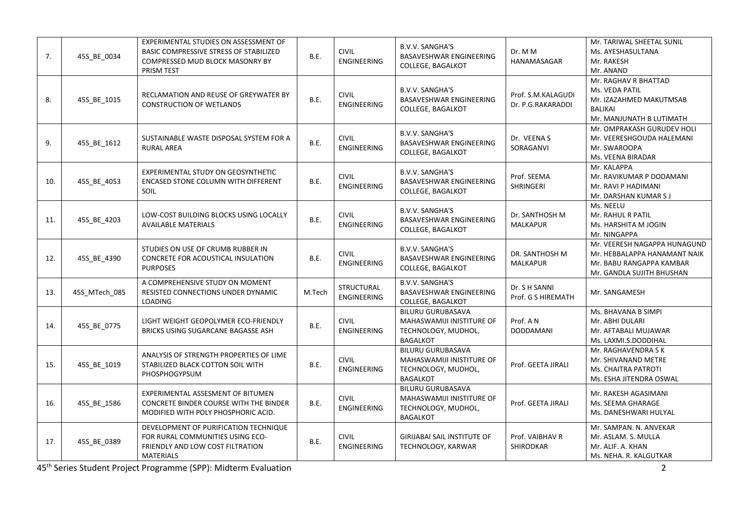| 7.  | 45S_BE_0034   | EXPERIMENTAL STUDIES ON ASSESSMENT OF<br>BASIC COMPRESSIVE STRESS OF STABILIZED<br>COMPRESSED MUD BLOCK MASONRY BY<br>PRISM TEST         | B.E.        | <b>CIVIL</b><br><b>ENGINEERING</b>      | <b>B.V.V. SANGHA'S</b><br>BASAVESHWAR ENGINEERING<br>COLLEGE, BAGALKOT                          | Dr. M M<br>HANAMASAGAR                  | Mr. TARIWAL SHEETAL SUNIL<br>Ms. AYESHASULTANA<br>Mr. RAKESH<br>Mr. ANAND                                             |
|-----|---------------|------------------------------------------------------------------------------------------------------------------------------------------|-------------|-----------------------------------------|-------------------------------------------------------------------------------------------------|-----------------------------------------|-----------------------------------------------------------------------------------------------------------------------|
| 8.  | 45S_BE_1015   | RECLAMATION AND REUSE OF GREYWATER BY<br><b>CONSTRUCTION OF WETLANDS</b>                                                                 | B.E.        | <b>CIVIL</b><br>ENGINEERING             | <b>B.V.V. SANGHA'S</b><br>BASAVESHWAR ENGINEERING<br>COLLEGE, BAGALKOT                          | Prof. S.M.KALAGUDI<br>Dr. P.G.RAKARADDI | Mr. RAGHAV R BHATTAD<br>Ms. VEDA PATIL<br>Mr. IZAZAHMED MAKUTMSAB<br><b>BALIKAI</b><br>Mr. MANJUNATH B LUTIMATH       |
| 9.  | 45S_BE_1612   | SUSTAINABLE WASTE DISPOSAL SYSTEM FOR A<br><b>RURAL AREA</b>                                                                             | B.E.        | <b>CIVIL</b><br><b>ENGINEERING</b>      | <b>B.V.V. SANGHA'S</b><br>BASAVESHWAR ENGINEERING<br>COLLEGE, BAGALKOT                          | Dr. VEENA S<br>SORAGANVI                | Mr. OMPRAKASH GURUDEV HOLI<br>Mr. VEERESHGOUDA HALEMANI<br>Mr. SWAROOPA<br>Ms. VEENA BIRADAR                          |
| 10. | 45S BE 4053   | EXPERIMENTAL STUDY ON GEOSYNTHETIC<br>ENCASED STONE COLUMN WITH DIFFERENT<br><b>SOIL</b>                                                 | B.E.        | <b>CIVIL</b><br>ENGINEERING             | <b>B.V.V. SANGHA'S</b><br>BASAVESHWAR ENGINEERING<br>COLLEGE, BAGALKOT                          | Prof. SEEMA<br><b>SHRINGERI</b>         | Mr. KALAPPA<br>Mr. RAVIKUMAR P DODAMANI<br>Mr. RAVI P HADIMANI<br>Mr. DARSHAN KUMAR S J                               |
| 11. | 45S_BE_4203   | LOW-COST BUILDING BLOCKS USING LOCALLY<br><b>AVAILABLE MATERIALS</b>                                                                     | B.E.        | <b>CIVIL</b><br>ENGINEERING             | <b>B.V.V. SANGHA'S</b><br>BASAVESHWAR ENGINEERING<br>COLLEGE, BAGALKOT                          | Dr. SANTHOSH M<br><b>MALKAPUR</b>       | Ms. NEELU<br>Mr. RAHUL R PATIL<br>Ms. HARSHITA M JOGIN<br>Mr. NINGAPPA                                                |
| 12. | 45S_BE_4390   | STUDIES ON USE OF CRUMB RUBBER IN<br>CONCRETE FOR ACOUSTICAL INSULATION<br><b>PURPOSES</b>                                               | B.E.        | <b>CIVIL</b><br><b>ENGINEERING</b>      | <b>B.V.V. SANGHA'S</b><br>BASAVESHWAR ENGINEERING<br>COLLEGE, BAGALKOT                          | DR. SANTHOSH M<br><b>MALKAPUR</b>       | Mr. VEERESH NAGAPPA HUNAGUND<br>Mr. HEBBALAPPA HANAMANT NAIK<br>Mr. BABU RANGAPPA KAMBAR<br>Mr. GANDLA SUJITH BHUSHAN |
| 13. | 45S MTech 085 | A COMPREHENSIVE STUDY ON MOMENT<br>RESISTED CONNECTIONS UNDER DYNAMIC<br><b>LOADING</b>                                                  | M.Tech      | <b>STRUCTURAL</b><br><b>ENGINEERING</b> | <b>B.V.V. SANGHA'S</b><br>BASAVESHWAR ENGINEERING<br><b>COLLEGE, BAGALKOT</b>                   | Dr. S H SANNI<br>Prof. G S HIREMATH     | Mr. SANGAMESH                                                                                                         |
| 14. | 45S_BE_0775   | LIGHT WEIGHT GEOPOLYMER ECO-FRIENDLY<br>BRICKS USING SUGARCANE BAGASSE ASH                                                               | B.E.        | <b>CIVIL</b><br>ENGINEERING             | <b>BILURU GURUBASAVA</b><br>MAHASWAMIJI INISTITURE OF<br>TECHNOLOGY, MUDHOL,<br><b>BAGALKOT</b> | Prof. A N<br><b>DODDAMANI</b>           | Ms. BHAVANA B SIMPI<br>Mr. ABHI DULARI<br>Mr. AFTABALI MUJAWAR<br>Ms. LAXMI.S.DODDIHAL                                |
| 15. | 45S_BE_1019   | ANALYSIS OF STRENGTH PROPERTIES OF LIME<br>STABILIZED BLACK COTTON SOIL WITH<br>PHOSPHOGYPSUM                                            | B.E.        | <b>CIVIL</b><br>ENGINEERING             | <b>BILURU GURUBASAVA</b><br>MAHASWAMIJI INISTITURE OF<br>TECHNOLOGY, MUDHOL,<br><b>BAGALKOT</b> | Prof. GEETA JIRALI                      | Mr. RAGHAVENDRA S K<br>Mr. SHIVANAND METRE<br>Ms. CHAITRA PATROTI<br>Ms. ESHA JITENDRA OSWAL                          |
| 16. | 45S_BE_1586   | EXPERIMENTAL ASSESMENT OF BITUMEN<br><b>CONCRETE BINDER COURSE WITH THE BINDER</b><br>MODIFIED WITH POLY PHOSPHORIC ACID.                | B.E.        | <b>CIVIL</b><br>ENGINEERING             | <b>BILURU GURUBASAVA</b><br>MAHASWAMIJI INISTITURE OF<br>TECHNOLOGY, MUDHOL,<br><b>BAGALKOT</b> | Prof. GEETA JIRALI                      | Mr. RAKESH AGASIMANI<br>Ms. SEEMA GHARAGE<br>Ms. DANESHWARI HULYAL                                                    |
| 17. | 45S BE 0389   | DEVELOPMENT OF PURIFICATION TECHNIQUE<br>FOR RURAL COMMUNITIES USING ECO-<br><b>FRIENDLY AND LOW COST FILTRATION</b><br><b>MATERIALS</b> | <b>B.E.</b> | <b>CIVIL</b><br><b>ENGINEERING</b>      | <b>GIRIJABAI SAIL INSTITUTE OF</b><br>TECHNOLOGY, KARWAR                                        | Prof. VAIBHAV R<br><b>SHIRODKAR</b>     | Mr. SAMPAN. N. ANVEKAR<br>Mr. ASLAM. S. MULLA<br>Mr. ALIF. A. KHAN<br>Ms. NEHA. R. KALGUTKAR                          |

45th Series Student Project Programme (SPP): Midterm Evaluation 2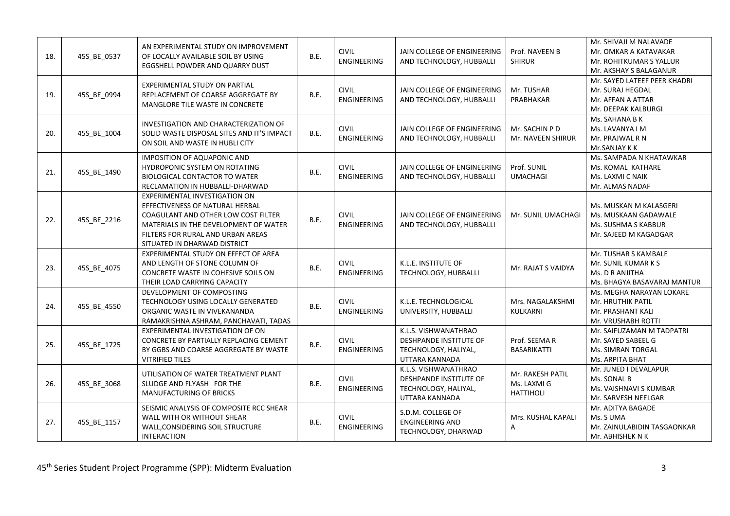| 18. | 45S BE 0537 | AN EXPERIMENTAL STUDY ON IMPROVEMENT<br>OF LOCALLY AVAILABLE SOIL BY USING<br>EGGSHELL POWDER AND QUARRY DUST                                                                                                         | B.E.        | <b>CIVIL</b><br><b>ENGINEERING</b> | JAIN COLLEGE OF ENGINEERING<br>AND TECHNOLOGY, HUBBALLI                                         | Prof. NAVEEN B<br><b>SHIRUR</b>                     | Mr. SHIVAJI M NALAVADE<br>Mr. OMKAR A KATAVAKAR<br>Mr. ROHITKUMAR S YALLUR<br>Mr. AKSHAY S BALAGANUR |
|-----|-------------|-----------------------------------------------------------------------------------------------------------------------------------------------------------------------------------------------------------------------|-------------|------------------------------------|-------------------------------------------------------------------------------------------------|-----------------------------------------------------|------------------------------------------------------------------------------------------------------|
| 19. | 45S BE 0994 | EXPERIMENTAL STUDY ON PARTIAL<br>REPLACEMENT OF COARSE AGGREGATE BY<br>MANGLORE TILE WASTE IN CONCRETE                                                                                                                | B.E.        | <b>CIVIL</b><br><b>ENGINEERING</b> | JAIN COLLEGE OF ENGINEERING<br>AND TECHNOLOGY, HUBBALLI                                         | Mr. TUSHAR<br>PRABHAKAR                             | Mr. SAYED LATEEF PEER KHADRI<br>Mr. SURAJ HEGDAL<br>Mr. AFFAN A ATTAR<br>Mr. DEEPAK KALBURGI         |
| 20. | 45S BE 1004 | INVESTIGATION AND CHARACTERIZATION OF<br>SOLID WASTE DISPOSAL SITES AND IT'S IMPACT<br>ON SOIL AND WASTE IN HUBLI CITY                                                                                                | B.E.        | <b>CIVIL</b><br>ENGINEERING        | JAIN COLLEGE OF ENGINEERING<br>AND TECHNOLOGY, HUBBALLI                                         | Mr. SACHIN P D<br>Mr. NAVEEN SHIRUR                 | Ms. SAHANA B K<br>Ms. LAVANYA I M<br>Mr. PRAJWAL R N<br>Mr.SANJAY K K                                |
| 21. | 45S_BE_1490 | <b>IMPOSITION OF AQUAPONIC AND</b><br>HYDROPONIC SYSTEM ON ROTATING<br><b>BIOLOGICAL CONTACTOR TO WATER</b><br>RECLAMATION IN HUBBALLI-DHARWAD                                                                        | B.E.        | <b>CIVIL</b><br><b>ENGINEERING</b> | JAIN COLLEGE OF ENGINEERING<br>AND TECHNOLOGY, HUBBALLI                                         | Prof. SUNIL<br><b>UMACHAGI</b>                      | Ms. SAMPADA N KHATAWKAR<br>Ms. KOMAL KATHARE<br>Ms. LAXMI C NAIK<br>Mr. ALMAS NADAF                  |
| 22. | 45S BE 2216 | EXPERIMENTAL INVESTIGATION ON<br>EFFECTIVENESS OF NATURAL HERBAL<br>COAGULANT AND OTHER LOW COST FILTER<br>MATERIALS IN THE DEVELOPMENT OF WATER<br>FILTERS FOR RURAL AND URBAN AREAS<br>SITUATED IN DHARWAD DISTRICT | B.E.        | <b>CIVIL</b><br><b>ENGINEERING</b> | JAIN COLLEGE OF ENGINEERING<br>AND TECHNOLOGY, HUBBALLI                                         | Mr. SUNIL UMACHAGI                                  | Ms. MUSKAN M KALASGERI<br>Ms. MUSKAAN GADAWALE<br>Ms. SUSHMA S KABBUR<br>Mr. SAJEED M KAGADGAR       |
| 23. | 45S_BE_4075 | EXPERIMENTAL STUDY ON EFFECT OF AREA<br>AND LENGTH OF STONE COLUMN OF<br>CONCRETE WASTE IN COHESIVE SOILS ON<br>THEIR LOAD CARRYING CAPACITY                                                                          | B.E.        | <b>CIVIL</b><br><b>ENGINEERING</b> | K.L.E. INSTITUTE OF<br>TECHNOLOGY, HUBBALLI                                                     | Mr. RAJAT S VAIDYA                                  | Mr. TUSHAR S KAMBALE<br>Mr. SUNIL KUMAR K S<br>Ms. D R ANJITHA<br>Ms. BHAGYA BASAVARAJ MANTUR        |
| 24. | 45S_BE_4550 | DEVELOPMENT OF COMPOSTING<br>TECHNOLOGY USING LOCALLY GENERATED<br>ORGANIC WASTE IN VIVEKANANDA<br>RAMAKRISHNA ASHRAM, PANCHAVATI, TADAS                                                                              | <b>B.E.</b> | <b>CIVIL</b><br>ENGINEERING        | K.L.E. TECHNOLOGICAL<br>UNIVERSITY, HUBBALLI                                                    | Mrs. NAGALAKSHMI<br>KULKARNI                        | Ms. MEGHA NARAYAN LOKARE<br>Mr. HRUTHIK PATIL<br>Mr. PRASHANT KALI<br>Mr. VRUSHABH ROTTI             |
| 25. | 45S_BE_1725 | EXPERIMENTAL INVESTIGATION OF ON<br>CONCRETE BY PARTIALLY REPLACING CEMENT<br>BY GGBS AND COARSE AGGREGATE BY WASTE<br><b>VITRIFIED TILES</b>                                                                         | B.E.        | <b>CIVIL</b><br><b>ENGINEERING</b> | K.L.S. VISHWANATHRAO<br><b>DESHPANDE INSTITUTE OF</b><br>TECHNOLOGY, HALIYAL,<br>UTTARA KANNADA | Prof. SEEMA R<br><b>BASARIKATTI</b>                 | Mr. SAIFUZAMAN M TADPATRI<br>Mr. SAYED SABEEL G<br><b>Ms. SIMRAN TORGAL</b><br>Ms. ARPITA BHAT       |
| 26. | 45S_BE_3068 | UTILISATION OF WATER TREATMENT PLANT<br>SLUDGE AND FLYASH FOR THE<br><b>MANUFACTURING OF BRICKS</b>                                                                                                                   | B.E.        | <b>CIVIL</b><br>ENGINEERING        | K.L.S. VISHWANATHRAO<br>DESHPANDE INSTITUTE OF<br>TECHNOLOGY, HALIYAL,<br>UTTARA KANNADA        | Mr. RAKESH PATIL<br>Ms. LAXMI G<br><b>HATTIHOLI</b> | Mr. JUNED I DEVALAPUR<br>Ms. SONAL B<br>Ms. VAISHNAVI S KUMBAR<br>Mr. SARVESH NEELGAR                |
| 27. | 45S_BE_1157 | SEISMIC ANALYSIS OF COMPOSITE RCC SHEAR<br>WALL WITH OR WITHOUT SHEAR<br>WALL, CONSIDERING SOIL STRUCTURE<br><b>INTERACTION</b>                                                                                       | <b>B.E.</b> | <b>CIVIL</b><br><b>ENGINEERING</b> | S.D.M. COLLEGE OF<br><b>ENGINEERING AND</b><br>TECHNOLOGY, DHARWAD                              | Mrs. KUSHAL KAPALI<br>A                             | Mr. ADITYA BAGADE<br>Ms. S UMA<br>Mr. ZAINULABIDIN TASGAONKAR<br>Mr. ABHISHEK N K                    |